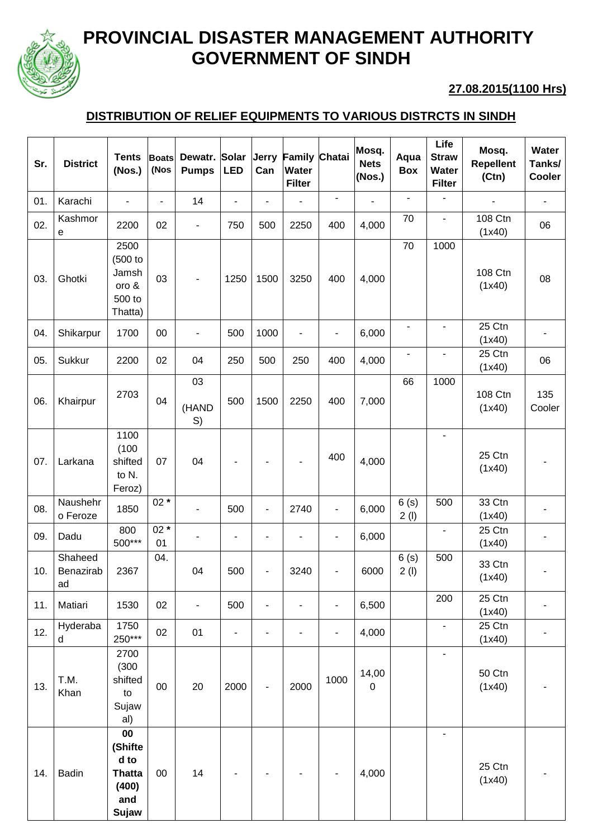

## **PROVINCIAL DISASTER MANAGEMENT AUTHORITY GOVERNMENT OF SINDH**

## **27.08.2015(1100 Hrs)**

## **DISTRIBUTION OF RELIEF EQUIPMENTS TO VARIOUS DISTRCTS IN SINDH**

| Sr. | <b>District</b>            | <b>Tents</b><br>(Nos.)                                          | <b>Boats</b><br>(Nos     | Dewatr.<br><b>Pumps</b>      | <b>Solar</b><br><b>LED</b> | Jerry<br>Can             | <b>Family Chatai</b><br>Water<br><b>Filter</b> |                          | Mosq.<br><b>Nets</b><br>(Nos.) | Aqua<br>Box              | Life<br><b>Straw</b><br><b>Water</b><br><b>Filter</b> | Mosq.<br><b>Repellent</b><br>(Ctn) | Water<br>Tanks/<br>Cooler |
|-----|----------------------------|-----------------------------------------------------------------|--------------------------|------------------------------|----------------------------|--------------------------|------------------------------------------------|--------------------------|--------------------------------|--------------------------|-------------------------------------------------------|------------------------------------|---------------------------|
| 01. | Karachi                    | $\frac{1}{2}$                                                   | $\overline{\phantom{a}}$ | 14                           | $\overline{\phantom{a}}$   | ä,                       |                                                | $\overline{\phantom{a}}$ | ä,                             |                          |                                                       | $\blacksquare$                     | -                         |
| 02. | Kashmor<br>е               | 2200                                                            | 02                       | $\qquad \qquad \blacksquare$ | 750                        | 500                      | 2250                                           | 400                      | 4,000                          | 70                       | $\overline{\phantom{a}}$                              | 108 Ctn<br>(1x40)                  | 06                        |
| 03. | Ghotki                     | 2500<br>(500 to<br>Jamsh<br>oro &<br>500 to<br>Thatta)          | 03                       |                              | 1250                       | 1500                     | 3250                                           | 400                      | 4,000                          | 70                       | 1000                                                  | 108 Ctn<br>(1x40)                  | 08                        |
| 04. | Shikarpur                  | 1700                                                            | 00                       |                              | 500                        | 1000                     | ÷,                                             | $\overline{\phantom{0}}$ | 6,000                          | $\overline{a}$           | $\overline{\phantom{a}}$                              | 25 Ctn<br>(1x40)                   |                           |
| 05. | Sukkur                     | 2200                                                            | 02                       | 04                           | 250                        | 500                      | 250                                            | 400                      | 4,000                          | $\overline{\phantom{0}}$ | $\overline{\phantom{a}}$                              | 25 Ctn<br>(1x40)                   | 06                        |
| 06. | Khairpur                   | 2703                                                            | 04                       | 03<br>(HAND<br>S)            | 500                        | 1500                     | 2250                                           | 400                      | 7,000                          | 66                       | 1000                                                  | 108 Ctn<br>(1x40)                  | 135<br>Cooler             |
| 07. | Larkana                    | 1100<br>(100)<br>shifted<br>to N.<br>Feroz)                     | 07                       | 04                           |                            |                          |                                                | 400                      | 4,000                          |                          |                                                       | 25 Ctn<br>(1x40)                   |                           |
| 08. | Naushehr<br>o Feroze       | 1850                                                            | $02*$                    |                              | 500                        | $\overline{\phantom{a}}$ | 2740                                           | $\overline{\phantom{0}}$ | 6,000                          | 6(s)<br>2(1)             | 500                                                   | 33 Ctn<br>(1x40)                   |                           |
| 09. | Dadu                       | 800<br>500***                                                   | $02*$<br>01              |                              | $\overline{a}$             |                          |                                                | $\blacksquare$           | 6,000                          |                          |                                                       | 25 Ctn<br>(1x40)                   |                           |
| 10. | Shaheed<br>Benazirab<br>ad | 2367                                                            | 04.                      | 04                           | 500                        | ٠                        | 3240                                           | -                        | 6000                           | 6(s)<br>2(1)             | 500                                                   | 33 Ctn<br>(1x40)                   |                           |
| 11. | Matiari                    | 1530                                                            | 02                       | $\overline{\phantom{0}}$     | 500                        | $\overline{a}$           |                                                | $\overline{\phantom{0}}$ | 6,500                          |                          | 200                                                   | 25 Ctn<br>(1x40)                   |                           |
| 12. | Hyderaba<br>d              | 1750<br>250***                                                  | 02                       | 01                           | $\overline{\phantom{a}}$   |                          | $\overline{a}$                                 | $\overline{\phantom{0}}$ | 4,000                          |                          | $\overline{\phantom{a}}$                              | 25 Ctn<br>(1x40)                   |                           |
| 13. | T.M.<br>Khan               | 2700<br>(300)<br>shifted<br>to<br>Sujaw<br>al)                  | $00\,$                   | 20                           | 2000                       |                          | 2000                                           | 1000                     | 14,00<br>$\mathbf 0$           |                          | $\overline{\phantom{a}}$                              | 50 Ctn<br>(1x40)                   |                           |
| 14. | <b>Badin</b>               | 00<br>(Shifte<br>d to<br><b>Thatta</b><br>(400)<br>and<br>Sujaw | 00                       | 14                           |                            |                          |                                                |                          | 4,000                          |                          |                                                       | 25 Ctn<br>(1x40)                   |                           |